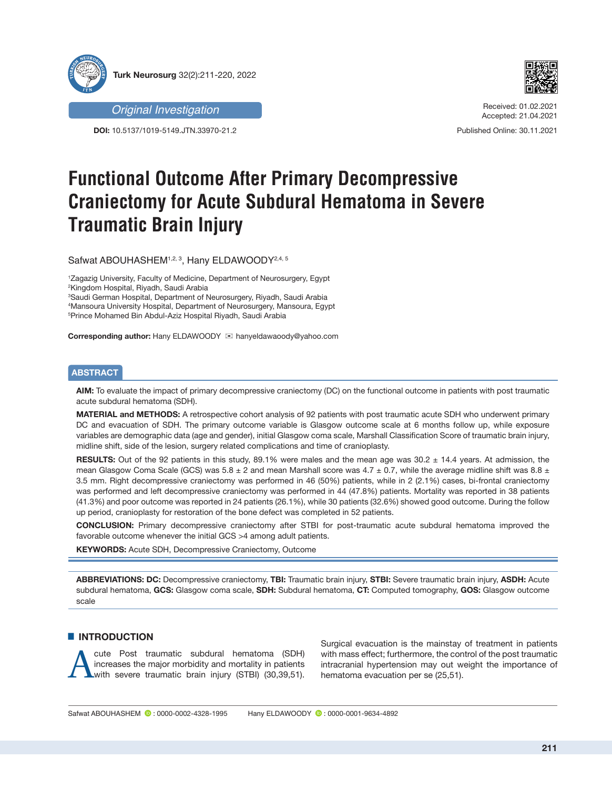



*Original Investigation*

**DOI:** 10.5137/1019-5149.JTN.33970-21.2

Received: 01.02.2021 Accepted: 21.04.2021

Published Online: 30.11.2021

# **Functional Outcome After Primary Decompressive Craniectomy for Acute Subdural Hematoma in Severe Traumatic Brain Injury**

Safwat ABOUHASHEM<sup>1,2, 3</sup>, Hany ELDAWOODY<sup>2,4, 5</sup>

 Zagazig University, Faculty of Medicine, Department of Neurosurgery, Egypt Kingdom Hospital, Riyadh, Saudi Arabia Saudi German Hospital, Department of Neurosurgery, Riyadh, Saudi Arabia Mansoura University Hospital, Department of Neurosurgery, Mansoura, Egypt Prince Mohamed Bin Abdul-Aziz Hospital Riyadh, Saudi Arabia

**Corresponding author:** Hany ELDAWOODY ⊠ hanyeldawaoody@yahoo.com

## **ABSTRACT**

**AIM:** To evaluate the impact of primary decompressive craniectomy (DC) on the functional outcome in patients with post traumatic acute subdural hematoma (SDH).

**MATERIAL and METHODS:** A retrospective cohort analysis of 92 patients with post traumatic acute SDH who underwent primary DC and evacuation of SDH. The primary outcome variable is Glasgow outcome scale at 6 months follow up, while exposure variables are demographic data (age and gender), initial Glasgow coma scale, Marshall Classification Score of traumatic brain injury, midline shift, side of the lesion, surgery related complications and time of cranioplasty.

**RESULTS:** Out of the 92 patients in this study, 89.1% were males and the mean age was 30.2 ± 14.4 years. At admission, the mean Glasgow Coma Scale (GCS) was  $5.8 \pm 2$  and mean Marshall score was  $4.7 \pm 0.7$ , while the average midline shift was  $8.8 \pm 1$ 3.5 mm. Right decompressive craniectomy was performed in 46 (50%) patients, while in 2 (2.1%) cases, bi-frontal craniectomy was performed and left decompressive craniectomy was performed in 44 (47.8%) patients. Mortality was reported in 38 patients (41.3%) and poor outcome was reported in 24 patients (26.1%), while 30 patients (32.6%) showed good outcome. During the follow up period, cranioplasty for restoration of the bone defect was completed in 52 patients.

**CONCLUSION:** Primary decompressive craniectomy after STBI for post-traumatic acute subdural hematoma improved the favorable outcome whenever the initial GCS >4 among adult patients.

**KEYWORDS:** Acute SDH, Decompressive Craniectomy, Outcome

**ABBREVIATIONS: DC:** Decompressive craniectomy, **TBI:** Traumatic brain injury, **STBI:** Severe traumatic brain injury, **ASDH:** Acute subdural hematoma, **GCS:** Glasgow coma scale, **SDH:** Subdural hematoma, **CT:** Computed tomography, **GOS:** Glasgow outcome scale

# **E INTRODUCTION**

Lute Post traumatic subdural hematoma (SDH) increases the major morbidity and mortality in patients with severe traumatic brain injury (STBI) (30,39,51). increases the major morbidity and mortality in patients Surgical evacuation is the mainstay of treatment in patients with mass effect; furthermore, the control of the post traumatic intracranial hypertension may out weight the importance of hematoma evacuation per se (25,51).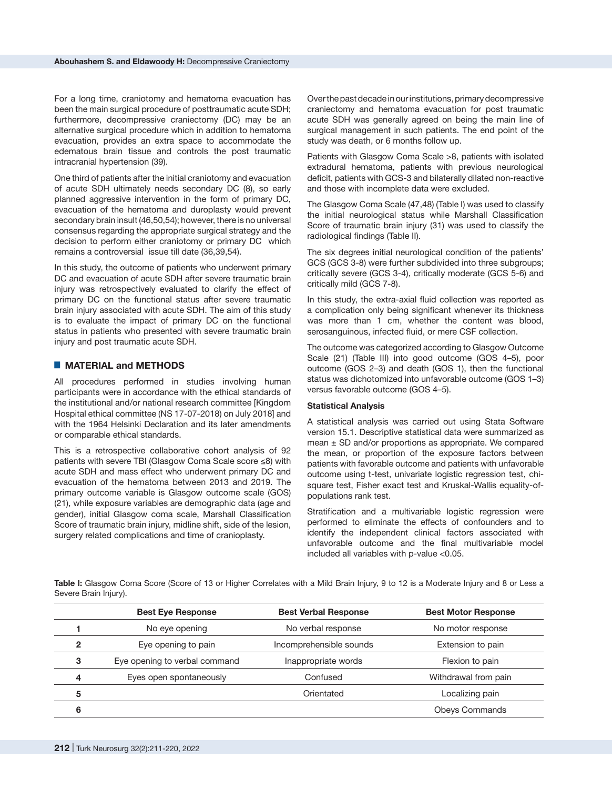For a long time, craniotomy and hematoma evacuation has been the main surgical procedure of posttraumatic acute SDH; furthermore, decompressive craniectomy (DC) may be an alternative surgical procedure which in addition to hematoma evacuation, provides an extra space to accommodate the edematous brain tissue and controls the post traumatic intracranial hypertension (39).

One third of patients after the initial craniotomy and evacuation of acute SDH ultimately needs secondary DC (8), so early planned aggressive intervention in the form of primary DC, evacuation of the hematoma and duroplasty would prevent secondary brain insult (46,50,54); however, there is no universal consensus regarding the appropriate surgical strategy and the decision to perform either craniotomy or primary DC which remains a controversial issue till date (36,39,54).

In this study, the outcome of patients who underwent primary DC and evacuation of acute SDH after severe traumatic brain injury was retrospectively evaluated to clarify the effect of primary DC on the functional status after severe traumatic brain injury associated with acute SDH. The aim of this study is to evaluate the impact of primary DC on the functional status in patients who presented with severe traumatic brain injury and post traumatic acute SDH.

## █ **MATERIAL and METHODS**

All procedures performed in studies involving human participants were in accordance with the ethical standards of the institutional and/or national research committee [Kingdom Hospital ethical committee (NS 17-07-2018) on July 2018] and with the 1964 Helsinki Declaration and its later amendments or comparable ethical standards.

This is a retrospective collaborative cohort analysis of 92 patients with severe TBI (Glasgow Coma Scale score ≤8) with acute SDH and mass effect who underwent primary DC and evacuation of the hematoma between 2013 and 2019. The primary outcome variable is Glasgow outcome scale (GOS) (21), while exposure variables are demographic data (age and gender), initial Glasgow coma scale, Marshall Classification Score of traumatic brain injury, midline shift, side of the lesion, surgery related complications and time of cranioplasty.

Over the past decade in our institutions, primary decompressive craniectomy and hematoma evacuation for post traumatic acute SDH was generally agreed on being the main line of surgical management in such patients. The end point of the study was death, or 6 months follow up.

Patients with Glasgow Coma Scale >8, patients with isolated extradural hematoma, patients with previous neurological deficit, patients with GCS-3 and bilaterally dilated non-reactive and those with incomplete data were excluded.

The Glasgow Coma Scale (47,48) (Table I) was used to classify the initial neurological status while Marshall Classification Score of traumatic brain injury (31) was used to classify the radiological findings (Table II).

The six degrees initial neurological condition of the patients' GCS (GCS 3-8) were further subdivided into three subgroups; critically severe (GCS 3-4), critically moderate (GCS 5-6) and critically mild (GCS 7-8).

In this study, the extra-axial fluid collection was reported as a complication only being significant whenever its thickness was more than 1 cm, whether the content was blood, serosanguinous, infected fluid, or mere CSF collection.

The outcome was categorized according to Glasgow Outcome Scale (21) (Table III) into good outcome (GOS 4–5), poor outcome (GOS 2–3) and death (GOS 1), then the functional status was dichotomized into unfavorable outcome (GOS 1–3) versus favorable outcome (GOS 4–5).

#### **Statistical Analysis**

A statistical analysis was carried out using Stata Software version 15.1. Descriptive statistical data were summarized as mean  $\pm$  SD and/or proportions as appropriate. We compared the mean, or proportion of the exposure factors between patients with favorable outcome and patients with unfavorable outcome using t-test, univariate logistic regression test, chisquare test, Fisher exact test and Kruskal-Wallis equality-ofpopulations rank test.

Stratification and a multivariable logistic regression were performed to eliminate the effects of confounders and to identify the independent clinical factors associated with unfavorable outcome and the final multivariable model included all variables with p-value <0.05.

**Table I:** Glasgow Coma Score (Score of 13 or Higher Correlates with a Mild Brain Injury, 9 to 12 is a Moderate Injury and 8 or Less a Severe Brain Injury).

|   | <b>Best Eye Response</b>      | <b>Best Verbal Response</b> | <b>Best Motor Response</b> |
|---|-------------------------------|-----------------------------|----------------------------|
|   | No eye opening                | No verbal response          | No motor response          |
| 2 | Eye opening to pain           | Incomprehensible sounds     | Extension to pain          |
| 3 | Eye opening to verbal command | Inappropriate words         | Flexion to pain            |
| 4 | Eyes open spontaneously       | Confused                    | Withdrawal from pain       |
| 5 |                               | Orientated                  | Localizing pain            |
| 6 |                               |                             | <b>Obeys Commands</b>      |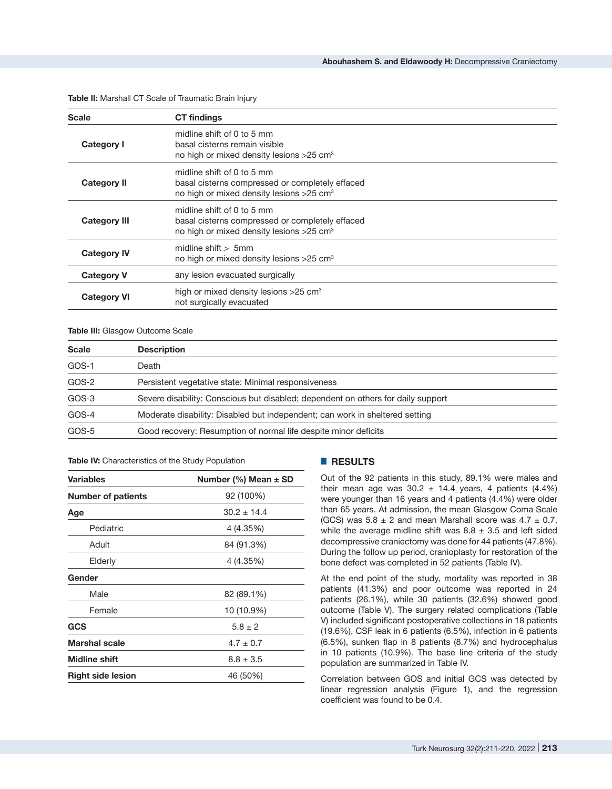| <b>Scale</b>        | <b>CT</b> findings                                                                                                                    |  |
|---------------------|---------------------------------------------------------------------------------------------------------------------------------------|--|
| <b>Category I</b>   | midline shift of 0 to 5 mm<br>basal cisterns remain visible<br>no high or mixed density lesions >25 cm <sup>3</sup>                   |  |
| <b>Category II</b>  | midline shift of 0 to 5 mm<br>basal cisterns compressed or completely effaced<br>no high or mixed density lesions >25 cm <sup>3</sup> |  |
| <b>Category III</b> | midline shift of 0 to 5 mm<br>basal cisterns compressed or completely effaced<br>no high or mixed density lesions >25 cm <sup>3</sup> |  |
| <b>Category IV</b>  | midline shift $>$ 5mm<br>no high or mixed density lesions >25 cm <sup>3</sup>                                                         |  |
| <b>Category V</b>   | any lesion evacuated surgically                                                                                                       |  |
| <b>Category VI</b>  | high or mixed density lesions $>25$ cm <sup>3</sup><br>not surgically evacuated                                                       |  |

**Table II:** Marshall CT Scale of Traumatic Brain Injury

#### **Table III:** Glasgow Outcome Scale

| <b>Scale</b> | <b>Description</b>                                                               |  |
|--------------|----------------------------------------------------------------------------------|--|
| GOS-1        | Death                                                                            |  |
| GOS-2        | Persistent vegetative state: Minimal responsiveness                              |  |
| GOS-3        | Severe disability: Conscious but disabled; dependent on others for daily support |  |
| GOS-4        | Moderate disability: Disabled but independent; can work in sheltered setting     |  |
| GOS-5        | Good recovery: Resumption of normal life despite minor deficits                  |  |

**Table IV:** Characteristics of the Study Population

| <b>Variables</b>          | Number (%) Mean $\pm$ SD |  |  |
|---------------------------|--------------------------|--|--|
| <b>Number of patients</b> | 92 (100%)                |  |  |
| Age                       | $30.2 \pm 14.4$          |  |  |
| Pediatric                 | 4 (4.35%)                |  |  |
| Adult                     | 84 (91.3%)               |  |  |
| Elderly                   | 4 (4.35%)                |  |  |
| Gender                    |                          |  |  |
| Male                      | 82 (89.1%)               |  |  |
| Female                    | 10 (10.9%)               |  |  |
| GCS                       | $5.8 \pm 2$              |  |  |
| <b>Marshal scale</b>      | $4.7 \pm 0.7$            |  |  |
| <b>Midline shift</b>      | $8.8 \pm 3.5$            |  |  |
| <b>Right side lesion</b>  | 46 (50%)                 |  |  |
|                           |                          |  |  |

# █ **RESULTS**

Out of the 92 patients in this study, 89.1% were males and their mean age was  $30.2 \pm 14.4$  years, 4 patients (4.4%) were younger than 16 years and 4 patients (4.4%) were older than 65 years. At admission, the mean Glasgow Coma Scale (GCS) was  $5.8 \pm 2$  and mean Marshall score was  $4.7 \pm 0.7$ , while the average midline shift was  $8.8 \pm 3.5$  and left sided decompressive craniectomy was done for 44 patients (47.8%). During the follow up period, cranioplasty for restoration of the bone defect was completed in 52 patients (Table IV).

At the end point of the study, mortality was reported in 38 patients (41.3%) and poor outcome was reported in 24 patients (26.1%), while 30 patients (32.6%) showed good outcome (Table V). The surgery related complications (Table V) included significant postoperative collections in 18 patients (19.6%), CSF leak in 6 patients (6.5%), infection in 6 patients (6.5%), sunken flap in 8 patients (8.7%) and hydrocephalus in 10 patients (10.9%). The base line criteria of the study population are summarized in Table IV.

Correlation between GOS and initial GCS was detected by linear regression analysis (Figure 1), and the regression coefficient was found to be 0.4.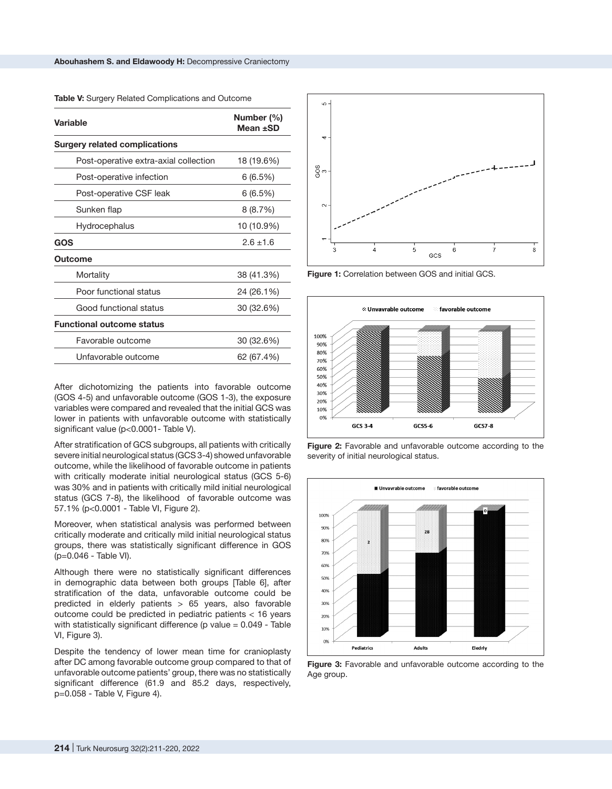**Table V:** Surgery Related Complications and Outcome

| Variable                              | Number (%)<br>Mean $\pm$ SD |  |
|---------------------------------------|-----------------------------|--|
| <b>Surgery related complications</b>  |                             |  |
| Post-operative extra-axial collection | 18 (19.6%)                  |  |
| Post-operative infection              | 6(6.5%)                     |  |
| Post-operative CSF leak               | 6(6.5%)                     |  |
| Sunken flap                           | 8(8.7%)                     |  |
| Hydrocephalus                         | 10 (10.9%)                  |  |
| GOS                                   | $2.6 \pm 1.6$               |  |
| Outcome                               |                             |  |
| Mortality                             | 38 (41.3%)                  |  |
| Poor functional status                | 24 (26.1%)                  |  |
| Good functional status                | 30 (32.6%)                  |  |
| <b>Functional outcome status</b>      |                             |  |
| Favorable outcome                     | 30 (32.6%)                  |  |
| Unfavorable outcome                   | 62 (67.4%)                  |  |

After dichotomizing the patients into favorable outcome (GOS 4-5) and unfavorable outcome (GOS 1-3), the exposure variables were compared and revealed that the initial GCS was lower in patients with unfavorable outcome with statistically significant value (p<0.0001- Table V).

After stratification of GCS subgroups, all patients with critically severe initial neurological status (GCS 3-4) showed unfavorable outcome, while the likelihood of favorable outcome in patients with critically moderate initial neurological status (GCS 5-6) was 30% and in patients with critically mild initial neurological status (GCS 7-8), the likelihood of favorable outcome was 57.1% (p<0.0001 - Table VI, Figure 2).

Moreover, when statistical analysis was performed between critically moderate and critically mild initial neurological status groups, there was statistically significant difference in GOS (p=0.046 - Table VI).

Although there were no statistically significant differences in demographic data between both groups [Table 6], after stratification of the data, unfavorable outcome could be predicted in elderly patients > 65 years, also favorable outcome could be predicted in pediatric patients < 16 years with statistically significant difference ( $p$  value = 0.049 - Table VI, Figure 3).

Despite the tendency of lower mean time for cranioplasty after DC among favorable outcome group compared to that of unfavorable outcome patients' group, there was no statistically significant difference (61.9 and 85.2 days, respectively, p=0.058 - Table V, Figure 4).



**Figure 1:** Correlation between GOS and initial GCS.







**Figure 3:** Favorable and unfavorable outcome according to the Age group.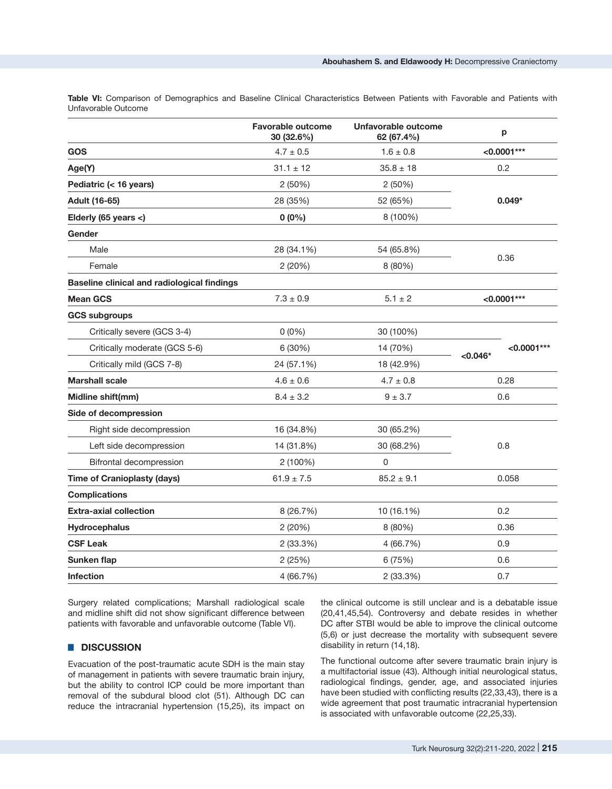**Table VI:** Comparison of Demographics and Baseline Clinical Characteristics Between Patients with Favorable and Patients with Unfavorable Outcome

|                                                    | <b>Favorable outcome</b><br>30 (32.6%) | <b>Unfavorable outcome</b><br>62 (67.4%) | p             |  |
|----------------------------------------------------|----------------------------------------|------------------------------------------|---------------|--|
| GOS                                                | $4.7 \pm 0.5$                          | $1.6 \pm 0.8$                            | $< 0.0001***$ |  |
| Age(Y)                                             | $31.1 \pm 12$                          | $35.8 \pm 18$                            | 0.2           |  |
| Pediatric (< 16 years)                             | 2(50%)                                 | 2 (50%)                                  |               |  |
| Adult (16-65)                                      | 28 (35%)                               | 52 (65%)                                 | $0.049*$      |  |
| Elderly (65 years <)                               | $0(0\%)$                               | 8 (100%)                                 |               |  |
| Gender                                             |                                        |                                          |               |  |
| Male                                               | 28 (34.1%)                             | 54 (65.8%)                               |               |  |
| Female                                             | 2(20%)                                 | 8 (80%)                                  | 0.36          |  |
| <b>Baseline clinical and radiological findings</b> |                                        |                                          |               |  |
| <b>Mean GCS</b>                                    | $7.3 \pm 0.9$                          | $5.1 \pm 2$                              | $< 0.0001***$ |  |
| <b>GCS subgroups</b>                               |                                        |                                          |               |  |
| Critically severe (GCS 3-4)                        | $0(0\%)$                               | 30 (100%)                                |               |  |
| Critically moderate (GCS 5-6)                      | 6 (30%)                                | 14 (70%)                                 | $< 0.0001***$ |  |
| Critically mild (GCS 7-8)                          | 24 (57.1%)                             | 18 (42.9%)                               | $< 0.046*$    |  |
| <b>Marshall scale</b>                              | $4.6 \pm 0.6$                          | $4.7 \pm 0.8$                            | 0.28          |  |
| Midline shift(mm)                                  | $8.4 \pm 3.2$                          | $9 \pm 3.7$                              | 0.6           |  |
| Side of decompression                              |                                        |                                          |               |  |
| Right side decompression                           | 16 (34.8%)                             | 30 (65.2%)                               |               |  |
| Left side decompression                            | 14 (31.8%)                             | 30 (68.2%)                               | 0.8           |  |
| Bifrontal decompression                            | 2(100%)                                | 0                                        |               |  |
| <b>Time of Cranioplasty (days)</b>                 | $61.9 \pm 7.5$                         | $85.2 \pm 9.1$                           | 0.058         |  |
| <b>Complications</b>                               |                                        |                                          |               |  |
| <b>Extra-axial collection</b>                      | 8 (26.7%)                              | 10 (16.1%)                               | 0.2           |  |
| <b>Hydrocephalus</b>                               | 2 (20%)                                | 8(80%)                                   | 0.36          |  |
| <b>CSF Leak</b>                                    | 2 (33.3%)                              | 4 (66.7%)                                | 0.9           |  |
| <b>Sunken flap</b>                                 | 2(25%)                                 | 6 (75%)                                  | 0.6           |  |
| <b>Infection</b>                                   | 4 (66.7%)                              | 2 (33.3%)                                | 0.7           |  |

Surgery related complications; Marshall radiological scale and midline shift did not show significant difference between patients with favorable and unfavorable outcome (Table VI).

# █ **DISCUSSION**

Evacuation of the post-traumatic acute SDH is the main stay of management in patients with severe traumatic brain injury, but the ability to control ICP could be more important than removal of the subdural blood clot (51). Although DC can reduce the intracranial hypertension (15,25), its impact on the clinical outcome is still unclear and is a debatable issue (20,41,45,54). Controversy and debate resides in whether DC after STBI would be able to improve the clinical outcome (5,6) or just decrease the mortality with subsequent severe disability in return (14,18).

The functional outcome after severe traumatic brain injury is a multifactorial issue (43). Although initial neurological status, radiological findings, gender, age, and associated injuries have been studied with conflicting results (22,33,43), there is a wide agreement that post traumatic intracranial hypertension is associated with unfavorable outcome (22,25,33).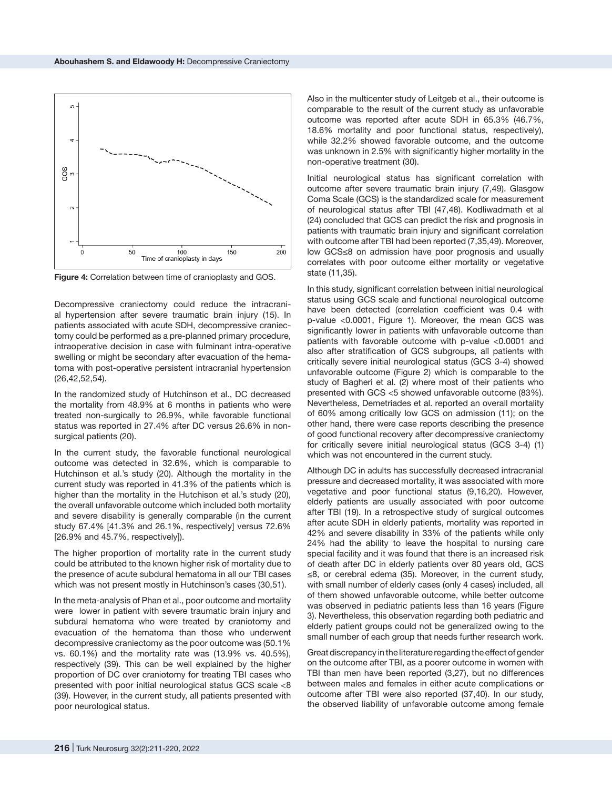

**Figure 4:** Correlation between time of cranioplasty and GOS.

Decompressive craniectomy could reduce the intracranial hypertension after severe traumatic brain injury (15). In patients associated with acute SDH, decompressive craniectomy could be performed as a pre-planned primary procedure, intraoperative decision in case with fulminant intra-operative swelling or might be secondary after evacuation of the hematoma with post-operative persistent intracranial hypertension (26,42,52,54).

In the randomized study of Hutchinson et al., DC decreased the mortality from 48.9% at 6 months in patients who were treated non-surgically to 26.9%, while favorable functional status was reported in 27.4% after DC versus 26.6% in nonsurgical patients (20).

In the current study, the favorable functional neurological outcome was detected in 32.6%, which is comparable to Hutchinson et al.'s study (20). Although the mortality in the current study was reported in 41.3% of the patients which is higher than the mortality in the Hutchison et al.'s study (20), the overall unfavorable outcome which included both mortality and severe disability is generally comparable (in the current study 67.4% [41.3% and 26.1%, respectively] versus 72.6% [26.9% and 45.7%, respectively]).

The higher proportion of mortality rate in the current study could be attributed to the known higher risk of mortality due to the presence of acute subdural hematoma in all our TBI cases which was not present mostly in Hutchinson's cases (30,51).

In the meta-analysis of Phan et al., poor outcome and mortality were lower in patient with severe traumatic brain injury and subdural hematoma who were treated by craniotomy and evacuation of the hematoma than those who underwent decompressive craniectomy as the poor outcome was (50.1% vs. 60.1%) and the mortality rate was (13.9% vs. 40.5%), respectively (39). This can be well explained by the higher proportion of DC over craniotomy for treating TBI cases who presented with poor initial neurological status GCS scale <8 (39). However, in the current study, all patients presented with poor neurological status.

Also in the multicenter study of Leitgeb et al., their outcome is comparable to the result of the current study as unfavorable outcome was reported after acute SDH in 65.3% (46.7%, 18.6% mortality and poor functional status, respectively), while 32.2% showed favorable outcome, and the outcome was unknown in 2.5% with significantly higher mortality in the non-operative treatment (30).

Initial neurological status has significant correlation with outcome after severe traumatic brain injury (7,49). Glasgow Coma Scale (GCS) is the standardized scale for measurement of neurological status after TBI (47,48). Kodliwadmath et al (24) concluded that GCS can predict the risk and prognosis in patients with traumatic brain injury and significant correlation with outcome after TBI had been reported (7,35,49). Moreover, low GCS≤8 on admission have poor prognosis and usually correlates with poor outcome either mortality or vegetative state (11,35).

In this study, significant correlation between initial neurological status using GCS scale and functional neurological outcome have been detected (correlation coefficient was 0.4 with p-value <0.0001, Figure 1). Moreover, the mean GCS was significantly lower in patients with unfavorable outcome than patients with favorable outcome with p-value <0.0001 and also after stratification of GCS subgroups, all patients with critically severe initial neurological status (GCS 3-4) showed unfavorable outcome (Figure 2) which is comparable to the study of Bagheri et al. (2) where most of their patients who presented with GCS <5 showed unfavorable outcome (83%). Nevertheless, Demetriades et al. reported an overall mortality of 60% among critically low GCS on admission (11); on the other hand, there were case reports describing the presence of good functional recovery after decompressive craniectomy for critically severe initial neurological status (GCS 3-4) (1) which was not encountered in the current study.

Although DC in adults has successfully decreased intracranial pressure and decreased mortality, it was associated with more vegetative and poor functional status (9,16,20). However, elderly patients are usually associated with poor outcome after TBI (19). In a retrospective study of surgical outcomes after acute SDH in elderly patients, mortality was reported in 42% and severe disability in 33% of the patients while only 24% had the ability to leave the hospital to nursing care special facility and it was found that there is an increased risk of death after DC in elderly patients over 80 years old, GCS ≤8, or cerebral edema (35). Moreover, in the current study, with small number of elderly cases (only 4 cases) included, all of them showed unfavorable outcome, while better outcome was observed in pediatric patients less than 16 years (Figure 3). Nevertheless, this observation regarding both pediatric and elderly patient groups could not be generalized owing to the small number of each group that needs further research work.

Great discrepancy in the literature regarding the effect of gender on the outcome after TBI, as a poorer outcome in women with TBI than men have been reported (3,27), but no differences between males and females in either acute complications or outcome after TBI were also reported (37,40). In our study, the observed liability of unfavorable outcome among female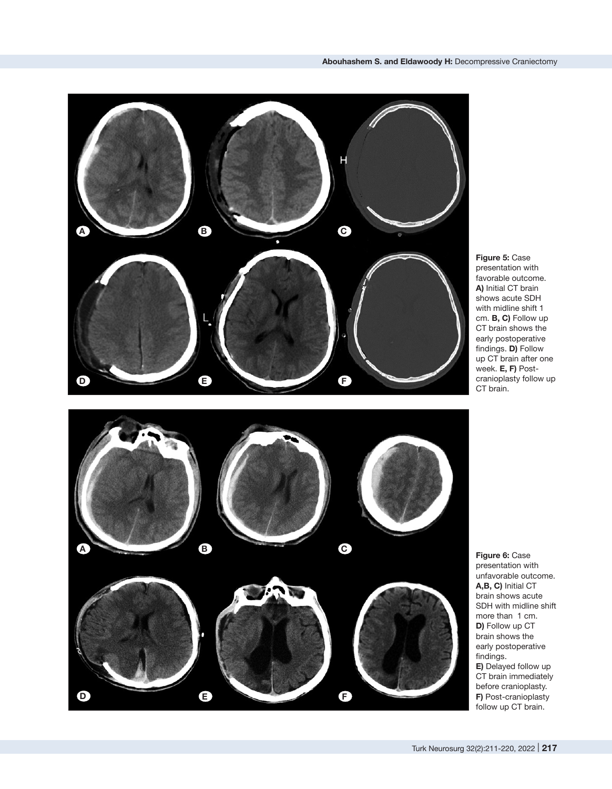

**Figure 5:** Case presentation with favorable outcome. **A)** Initial CT brain shows acute SDH with midline shift 1 cm. **B, C)** Follow up CT brain shows the early postoperative findings. **D)** Follow up CT brain after one week. **E, F)** Postcranioplasty follow up CT brain.



**Figure 6:** Case presentation with unfavorable outcome. **A,B, C)** Initial CT brain shows acute SDH with midline shift more than 1 cm. **D)** Follow up CT brain shows the early postoperative findings. **E)** Delayed follow up CT brain immediately before cranioplasty. **F)** Post-cranioplasty follow up CT brain.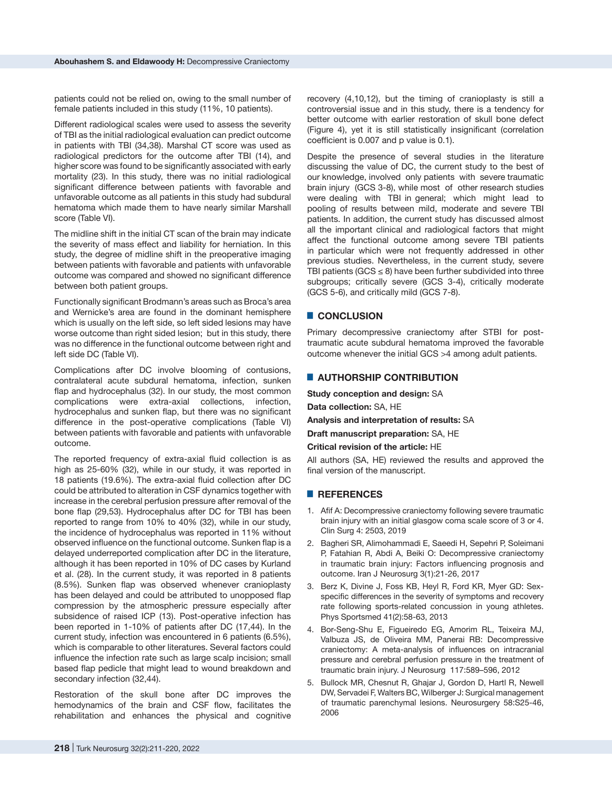patients could not be relied on, owing to the small number of female patients included in this study (11%, 10 patients).

Different radiological scales were used to assess the severity of TBI as the initial radiological evaluation can predict outcome in patients with TBI (34,38). Marshal CT score was used as radiological predictors for the outcome after TBI (14), and higher score was found to be significantly associated with early mortality (23). In this study, there was no initial radiological significant difference between patients with favorable and unfavorable outcome as all patients in this study had subdural hematoma which made them to have nearly similar Marshall score (Table VI).

The midline shift in the initial CT scan of the brain may indicate the severity of mass effect and liability for herniation. In this study, the degree of midline shift in the preoperative imaging between patients with favorable and patients with unfavorable outcome was compared and showed no significant difference between both patient groups.

Functionally significant Brodmann's areas such as Broca's area and Wernicke's area are found in the dominant hemisphere which is usually on the left side, so left sided lesions may have worse outcome than right sided lesion; but in this study, there was no difference in the functional outcome between right and left side DC (Table VI).

Complications after DC involve blooming of contusions, contralateral acute subdural hematoma, infection, sunken flap and hydrocephalus (32). In our study, the most common complications were extra-axial collections, infection, hydrocephalus and sunken flap, but there was no significant difference in the post-operative complications (Table VI) between patients with favorable and patients with unfavorable outcome.

The reported frequency of extra-axial fluid collection is as high as 25-60% (32), while in our study, it was reported in 18 patients (19.6%). The extra-axial fluid collection after DC could be attributed to alteration in CSF dynamics together with increase in the cerebral perfusion pressure after removal of the bone flap (29,53). Hydrocephalus after DC for TBI has been reported to range from 10% to 40% (32), while in our study, the incidence of hydrocephalus was reported in 11% without observed influence on the functional outcome. Sunken flap is a delayed underreported complication after DC in the literature, although it has been reported in 10% of DC cases by Kurland et al. (28). In the current study, it was reported in 8 patients (8.5%). Sunken flap was observed whenever cranioplasty has been delayed and could be attributed to unopposed flap compression by the atmospheric pressure especially after subsidence of raised ICP (13). Post-operative infection has been reported in 1-10% of patients after DC (17,44). In the current study, infection was encountered in 6 patients (6.5%), which is comparable to other literatures. Several factors could influence the infection rate such as large scalp incision; small based flap pedicle that might lead to wound breakdown and secondary infection (32,44).

Restoration of the skull bone after DC improves the hemodynamics of the brain and CSF flow, facilitates the rehabilitation and enhances the physical and cognitive recovery (4,10,12), but the timing of cranioplasty is still a controversial issue and in this study, there is a tendency for better outcome with earlier restoration of skull bone defect (Figure 4), yet it is still statistically insignificant (correlation coefficient is 0.007 and p value is 0.1).

Despite the presence of several studies in the literature discussing the value of DC, the current study to the best of our knowledge, involved only patients with severe traumatic brain injury (GCS 3-8), while most of other research studies were dealing with TBI in general; which might lead to pooling of results between mild, moderate and severe TBI patients. In addition, the current study has discussed almost all the important clinical and radiological factors that might affect the functional outcome among severe TBI patients in particular which were not frequently addressed in other previous studies. Nevertheless, in the current study, severe TBI patients (GCS  $\leq$  8) have been further subdivided into three subgroups; critically severe (GCS 3-4), critically moderate (GCS 5-6), and critically mild (GCS 7-8).

#### █ **CONCLUSION**

Primary decompressive craniectomy after STBI for posttraumatic acute subdural hematoma improved the favorable outcome whenever the initial GCS >4 among adult patients.

# **E** AUTHORSHIP CONTRIBUTION

**Study conception and design:** SA

**Data collection:** SA, HE

**Analysis and interpretation of results:** SA

**Draft manuscript preparation:** SA, HE

**Critical revision of the article:** HE

All authors (SA, HE) reviewed the results and approved the final version of the manuscript.

# █ **REFERENCES**

- 1. Afif A: Decompressive craniectomy following severe traumatic brain injury with an initial glasgow coma scale score of 3 or 4. Clin Surg 4: 2503, 2019
- 2. Bagheri SR, Alimohammadi E, Saeedi H, Sepehri P, Soleimani P, Fatahian R, Abdi A, Beiki O: Decompressive craniectomy in traumatic brain injury: Factors influencing prognosis and outcome. Iran J Neurosurg 3(1):21-26, 2017
- 3. Berz K, Divine J, Foss KB, Heyl R, Ford KR, Myer GD: Sexspecific differences in the severity of symptoms and recovery rate following sports-related concussion in young athletes. Phys Sportsmed 41(2):58-63, 2013
- 4. Bor-Seng-Shu E, Figueiredo EG, Amorim RL, Teixeira MJ, Valbuza JS, de Oliveira MM, Panerai RB: Decompressive craniectomy: A meta-analysis of influences on intracranial pressure and cerebral perfusion pressure in the treatment of traumatic brain injury. J Neurosurg 117:589–596, 2012
- 5. Bullock MR, Chesnut R, Ghajar J, Gordon D, Hartl R, Newell DW, Servadei F, Walters BC, Wilberger J: Surgical management of traumatic parenchymal lesions. Neurosurgery 58:S25-46, 2006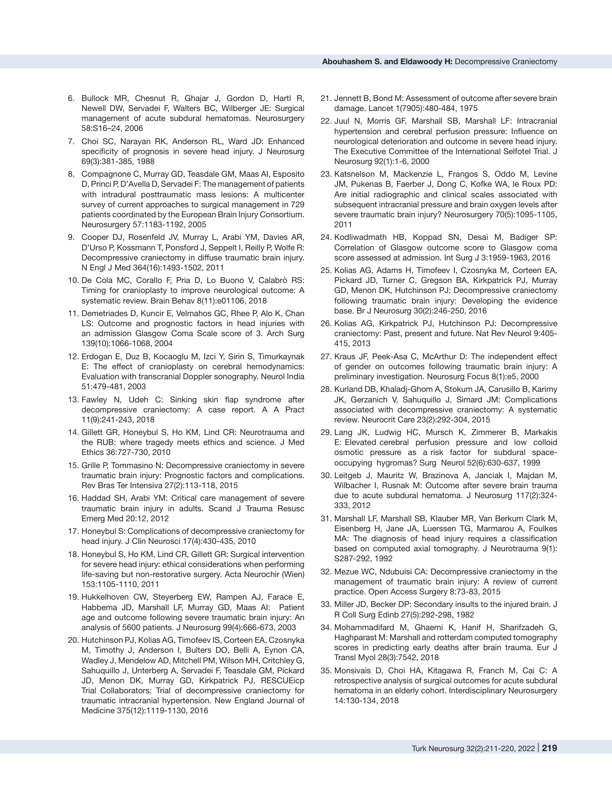- 6. Bullock MR, Chesnut R, Ghajar J, Gordon D, Hartl R, Newell DW, Servadei F, Walters BC, Wilberger JE: Surgical management of acute subdural hematomas. Neurosurgery 58:S16–24, 2006
- 7. Choi SC, Narayan RK, Anderson RL, Ward JD: Enhanced specificity of prognosis in severe head injury. J Neurosurg 69(3):381-385, 1988
- 8. Compagnone C, Murray GD, Teasdale GM, Maas AI, Esposito D, Princi P, D'Avella D, Servadei F: The management of patients with intradural posttraumatic mass lesions: A multicenter survey of current approaches to surgical management in 729 patients coordinated by the European Brain Injury Consortium. Neurosurgery 57:1183-1192, 2005
- 9. Cooper DJ, Rosenfeld JV, Murray L, Arabi YM, Davies AR, D'Urso P, Kossmann T, Ponsford J, Seppelt I, Reilly P, Wolfe R: Decompressive craniectomy in diffuse traumatic brain injury. N Engl J Med 364(16):1493-1502, 2011
- 10. De Cola MC, Corallo F, Pria D, Lo Buono V, Calabrò RS: Timing for cranioplasty to improve neurological outcome: A systematic review. Brain Behav 8(11):e01106, 2018
- 11. Demetriades D, Kuncir E, Velmahos GC, Rhee P, Alo K, Chan LS: Outcome and prognostic factors in head injuries with an admission Glasgow Coma Scale score of 3. Arch Surg 139(10):1066-1068, 2004
- 12. Erdogan E, Duz B, Kocaoglu M, Izci Y, Sirin S, Timurkaynak E: The effect of cranioplasty on cerebral hemodynamics: Evaluation with transcranial Doppler sonography. Neurol India 51:479-481, 2003
- 13. Fawley N, Udeh C: Sinking skin flap syndrome after decompressive craniectomy: A case report. A A Pract 11(9):241-243, 2018
- 14. Gillett GR, Honeybul S, Ho KM, Lind CR: Neurotrauma and the RUB: where tragedy meets ethics and science. J Med Ethics 36:727-730, 2010
- 15. Grille P, Tommasino N: Decompressive craniectomy in severe traumatic brain injury: Prognostic factors and complications. Rev Bras Ter Intensiva 27(2):113-118, 2015
- 16. Haddad SH, Arabi YM: Critical care management of severe traumatic brain injury in adults. Scand J Trauma Resusc Emerg Med 20:12, 2012
- 17. Honeybul S: Complications of decompressive craniectomy for head injury. J Clin Neurosci 17(4):430-435, 2010
- 18. Honeybul S, Ho KM, Lind CR, Gillett GR: Surgical intervention for severe head injury: ethical considerations when performing life-saving but non-restorative surgery. Acta Neurochir (Wien) 153:1105-1110, 2011
- 19. Hukkelhoven CW, Steyerberg EW, Rampen AJ, Farace E, Habbema JD, Marshall LF, Murray GD, Maas AI: Patient age and outcome following severe traumatic brain injury: An analysis of 5600 patients. J Neurosurg 99(4):666-673, 2003
- 20. Hutchinson PJ, Kolias AG, Timofeev IS, Corteen EA, Czosnyka M, Timothy J, Anderson I, Bulters DO, Belli A, Eynon CA, Wadley J, Mendelow AD, Mitchell PM, Wilson MH, Critchley G, Sahuquillo J, Unterberg A, Servadei F, Teasdale GM, Pickard JD, Menon DK, Murray GD, Kirkpatrick PJ, RESCUEicp Trial Collaborators: Trial of decompressive craniectomy for traumatic intracranial hypertension. New England Journal of Medicine 375(12):1119-1130, 2016
- 21. Jennett B, Bond M: Assessment of outcome after severe brain damage. Lancet 1(7905):480-484, 1975
- 22. Juul N, Morris GF, Marshall SB, Marshall LF: Intracranial hypertension and cerebral perfusion pressure: Influence on neurological deterioration and outcome in severe head injury. The Executive Committee of the International Selfotel Trial. J Neurosurg 92(1):1-6, 2000
- 23. Katsnelson M, Mackenzie L, Frangos S, Oddo M, Levine JM, Pukenas B, Faerber J, Dong C, Kofke WA, le Roux PD: Are initial radiographic and clinical scales associated with subsequent intracranial pressure and brain oxygen levels after severe traumatic brain injury? Neurosurgery 70(5):1095-1105, 2011
- 24. Kodliwadmath HB, Koppad SN, Desai M, Badiger SP: Correlation of Glasgow outcome score to Glasgow coma score assessed at admission. Int Surg J 3:1959-1963, 2016
- 25. Kolias AG, Adams H, Timofeev I, Czosnyka M, Corteen EA, Pickard JD, Turner C, Gregson BA, Kirkpatrick PJ, Murray GD, Menon DK, Hutchinson PJ: Decompressive craniectomy following traumatic brain injury: Developing the evidence base. Br J Neurosurg 30(2):246-250, 2016
- 26. Kolias AG, Kirkpatrick PJ, Hutchinson PJ: Decompressive craniectomy: Past, present and future. Nat Rev Neurol 9:405- 415, 2013
- 27. Kraus JF, Peek-Asa C, McArthur D: The independent effect of gender on outcomes following traumatic brain injury: A preliminary investigation. Neurosurg Focus 8(1):e5, 2000
- 28. Kurland DB, Khaladj-Ghom A, Stokum JA, Carusillo B, Karimy JK, Gerzanich V, Sahuquillo J, Simard JM: Complications associated with decompressive craniectomy: A systematic review. Neurocrit Care 23(2):292-304, 2015
- 29. Lang JK, Ludwig HC, Mursch K, Zimmerer B, Markakis E: Elevated cerebral perfusion pressure and low colloid osmotic pressure as a risk factor for subdural spaceoccupying hygromas? Surg Neurol 52(6):630-637, 1999
- 30. Leitgeb J, Mauritz W, Brazinova A, Janciak I, Majdan M, Wilbacher I, Rusnak M: Outcome after severe brain trauma due to acute subdural hematoma. J Neurosurg 117(2):324- 333, 2012
- 31. Marshall LF, Marshall SB, Klauber MR, Van Berkum Clark M, Eisenberg H, Jane JA, Luerssen TG, Marmarou A, Foulkes MA: The diagnosis of head injury requires a classification based on computed axial tomography. J Neurotrauma 9(1): S287-292, 1992
- 32. Mezue WC, Ndubuisi CA: Decompressive craniectomy in the management of traumatic brain injury: A review of current practice. Open Access Surgery 8:73-83, 2015
- 33. Miller JD, Becker DP: Secondary insults to the injured brain. J R Coll Surg Edinb 27(5):292-298, 1982
- 34. Mohammadifard M, Ghaemi K, Hanif H, Sharifzadeh G, Haghparast M: Marshall and rotterdam computed tomography scores in predicting early deaths after brain trauma. Eur J Transl Myol 28(3):7542, 2018
- 35. Monsivais D, Choi HA, Kitagawa R, Franch M, Cai C: A retrospective analysis of surgical outcomes for acute subdural hematoma in an elderly cohort. Interdisciplinary Neurosurgery 14:130-134, 2018